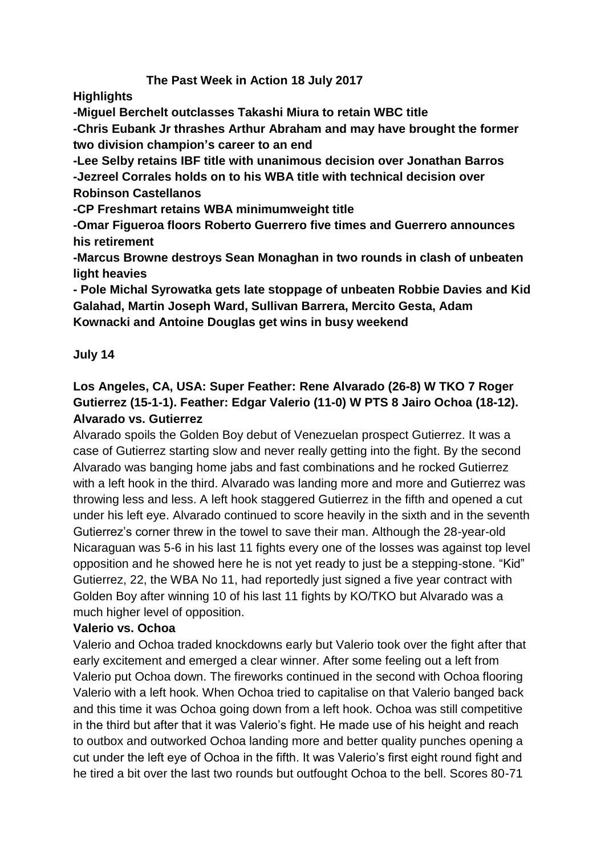## **The Past Week in Action 18 July 2017**

**Highlights**

**-Miguel Berchelt outclasses Takashi Miura to retain WBC title**

**-Chris Eubank Jr thrashes Arthur Abraham and may have brought the former two division champion's career to an end**

**-Lee Selby retains IBF title with unanimous decision over Jonathan Barros -Jezreel Corrales holds on to his WBA title with technical decision over Robinson Castellanos**

**-CP Freshmart retains WBA minimumweight title**

**-Omar Figueroa floors Roberto Guerrero five times and Guerrero announces his retirement**

**-Marcus Browne destroys Sean Monaghan in two rounds in clash of unbeaten light heavies**

**- Pole Michal Syrowatka gets late stoppage of unbeaten Robbie Davies and Kid Galahad, Martin Joseph Ward, Sullivan Barrera, Mercito Gesta, Adam Kownacki and Antoine Douglas get wins in busy weekend**

## **July 14**

## **Los Angeles, CA, USA: Super Feather: Rene Alvarado (26-8) W TKO 7 Roger Gutierrez (15-1-1). Feather: Edgar Valerio (11-0) W PTS 8 Jairo Ochoa (18-12). Alvarado vs. Gutierrez**

Alvarado spoils the Golden Boy debut of Venezuelan prospect Gutierrez. It was a case of Gutierrez starting slow and never really getting into the fight. By the second Alvarado was banging home jabs and fast combinations and he rocked Gutierrez with a left hook in the third. Alvarado was landing more and more and Gutierrez was throwing less and less. A left hook staggered Gutierrez in the fifth and opened a cut under his left eye. Alvarado continued to score heavily in the sixth and in the seventh Gutierrez's corner threw in the towel to save their man. Although the 28-year-old Nicaraguan was 5-6 in his last 11 fights every one of the losses was against top level opposition and he showed here he is not yet ready to just be a stepping-stone. "Kid" Gutierrez, 22, the WBA No 11, had reportedly just signed a five year contract with Golden Boy after winning 10 of his last 11 fights by KO/TKO but Alvarado was a much higher level of opposition.

## **Valerio vs. Ochoa**

Valerio and Ochoa traded knockdowns early but Valerio took over the fight after that early excitement and emerged a clear winner. After some feeling out a left from Valerio put Ochoa down. The fireworks continued in the second with Ochoa flooring Valerio with a left hook. When Ochoa tried to capitalise on that Valerio banged back and this time it was Ochoa going down from a left hook. Ochoa was still competitive in the third but after that it was Valerio's fight. He made use of his height and reach to outbox and outworked Ochoa landing more and better quality punches opening a cut under the left eye of Ochoa in the fifth. It was Valerio's first eight round fight and he tired a bit over the last two rounds but outfought Ochoa to the bell. Scores 80-71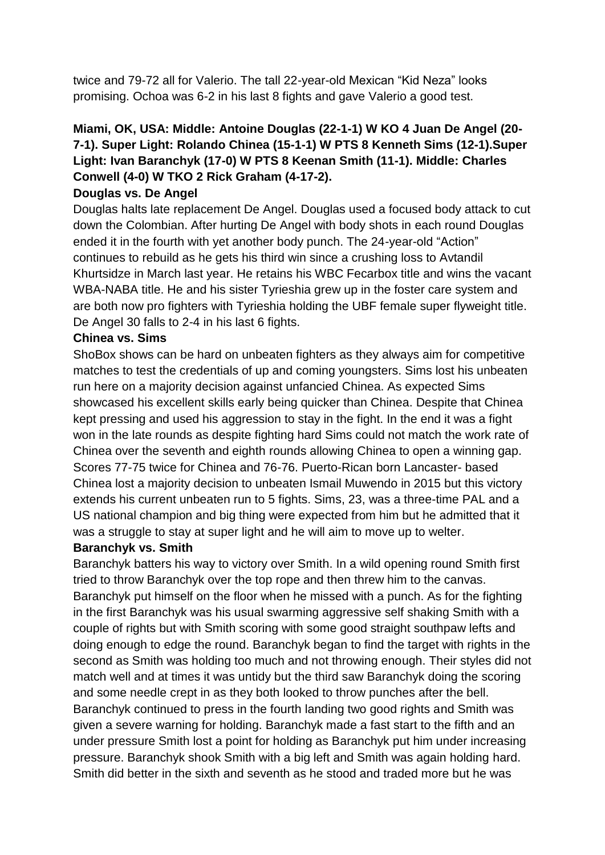twice and 79-72 all for Valerio. The tall 22-year-old Mexican "Kid Neza" looks promising. Ochoa was 6-2 in his last 8 fights and gave Valerio a good test.

# **Miami, OK, USA: Middle: Antoine Douglas (22-1-1) W KO 4 Juan De Angel (20- 7-1). Super Light: Rolando Chinea (15-1-1) W PTS 8 Kenneth Sims (12-1).Super Light: Ivan Baranchyk (17-0) W PTS 8 Keenan Smith (11-1). Middle: Charles Conwell (4-0) W TKO 2 Rick Graham (4-17-2).**

## **Douglas vs. De Angel**

Douglas halts late replacement De Angel. Douglas used a focused body attack to cut down the Colombian. After hurting De Angel with body shots in each round Douglas ended it in the fourth with yet another body punch. The 24-year-old "Action" continues to rebuild as he gets his third win since a crushing loss to Avtandil Khurtsidze in March last year. He retains his WBC Fecarbox title and wins the vacant WBA-NABA title. He and his sister Tyrieshia grew up in the foster care system and are both now pro fighters with Tyrieshia holding the UBF female super flyweight title. De Angel 30 falls to 2-4 in his last 6 fights.

## **Chinea vs. Sims**

ShoBox shows can be hard on unbeaten fighters as they always aim for competitive matches to test the credentials of up and coming youngsters. Sims lost his unbeaten run here on a majority decision against unfancied Chinea. As expected Sims showcased his excellent skills early being quicker than Chinea. Despite that Chinea kept pressing and used his aggression to stay in the fight. In the end it was a fight won in the late rounds as despite fighting hard Sims could not match the work rate of Chinea over the seventh and eighth rounds allowing Chinea to open a winning gap. Scores 77-75 twice for Chinea and 76-76. Puerto-Rican born Lancaster- based Chinea lost a majority decision to unbeaten Ismail Muwendo in 2015 but this victory extends his current unbeaten run to 5 fights. Sims, 23, was a three-time PAL and a US national champion and big thing were expected from him but he admitted that it was a struggle to stay at super light and he will aim to move up to welter.

#### **Baranchyk vs. Smith**

Baranchyk batters his way to victory over Smith. In a wild opening round Smith first tried to throw Baranchyk over the top rope and then threw him to the canvas. Baranchyk put himself on the floor when he missed with a punch. As for the fighting in the first Baranchyk was his usual swarming aggressive self shaking Smith with a couple of rights but with Smith scoring with some good straight southpaw lefts and doing enough to edge the round. Baranchyk began to find the target with rights in the second as Smith was holding too much and not throwing enough. Their styles did not match well and at times it was untidy but the third saw Baranchyk doing the scoring and some needle crept in as they both looked to throw punches after the bell. Baranchyk continued to press in the fourth landing two good rights and Smith was given a severe warning for holding. Baranchyk made a fast start to the fifth and an under pressure Smith lost a point for holding as Baranchyk put him under increasing pressure. Baranchyk shook Smith with a big left and Smith was again holding hard. Smith did better in the sixth and seventh as he stood and traded more but he was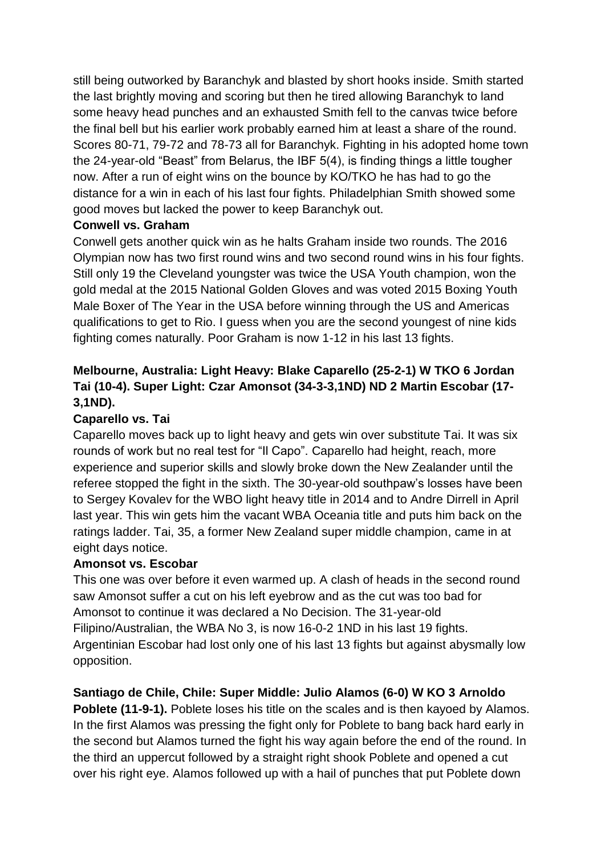still being outworked by Baranchyk and blasted by short hooks inside. Smith started the last brightly moving and scoring but then he tired allowing Baranchyk to land some heavy head punches and an exhausted Smith fell to the canvas twice before the final bell but his earlier work probably earned him at least a share of the round. Scores 80-71, 79-72 and 78-73 all for Baranchyk. Fighting in his adopted home town the 24-year-old "Beast" from Belarus, the IBF 5(4), is finding things a little tougher now. After a run of eight wins on the bounce by KO/TKO he has had to go the distance for a win in each of his last four fights. Philadelphian Smith showed some good moves but lacked the power to keep Baranchyk out.

## **Conwell vs. Graham**

Conwell gets another quick win as he halts Graham inside two rounds. The 2016 Olympian now has two first round wins and two second round wins in his four fights. Still only 19 the Cleveland youngster was twice the USA Youth champion, won the gold medal at the 2015 National Golden Gloves and was voted 2015 Boxing Youth Male Boxer of The Year in the USA before winning through the US and Americas qualifications to get to Rio. I guess when you are the second youngest of nine kids fighting comes naturally. Poor Graham is now 1-12 in his last 13 fights.

## **Melbourne, Australia: Light Heavy: Blake Caparello (25-2-1) W TKO 6 Jordan Tai (10-4). Super Light: Czar Amonsot (34-3-3,1ND) ND 2 Martin Escobar (17- 3,1ND).**

## **Caparello vs. Tai**

Caparello moves back up to light heavy and gets win over substitute Tai. It was six rounds of work but no real test for "Il Capo". Caparello had height, reach, more experience and superior skills and slowly broke down the New Zealander until the referee stopped the fight in the sixth. The 30-year-old southpaw's losses have been to Sergey Kovalev for the WBO light heavy title in 2014 and to Andre Dirrell in April last year. This win gets him the vacant WBA Oceania title and puts him back on the ratings ladder. Tai, 35, a former New Zealand super middle champion, came in at eight days notice.

## **Amonsot vs. Escobar**

This one was over before it even warmed up. A clash of heads in the second round saw Amonsot suffer a cut on his left eyebrow and as the cut was too bad for Amonsot to continue it was declared a No Decision. The 31-year-old Filipino/Australian, the WBA No 3, is now 16-0-2 1ND in his last 19 fights. Argentinian Escobar had lost only one of his last 13 fights but against abysmally low opposition.

## **Santiago de Chile, Chile: Super Middle: Julio Alamos (6-0) W KO 3 Arnoldo**

**Poblete (11-9-1).** Poblete loses his title on the scales and is then kayoed by Alamos. In the first Alamos was pressing the fight only for Poblete to bang back hard early in the second but Alamos turned the fight his way again before the end of the round. In the third an uppercut followed by a straight right shook Poblete and opened a cut over his right eye. Alamos followed up with a hail of punches that put Poblete down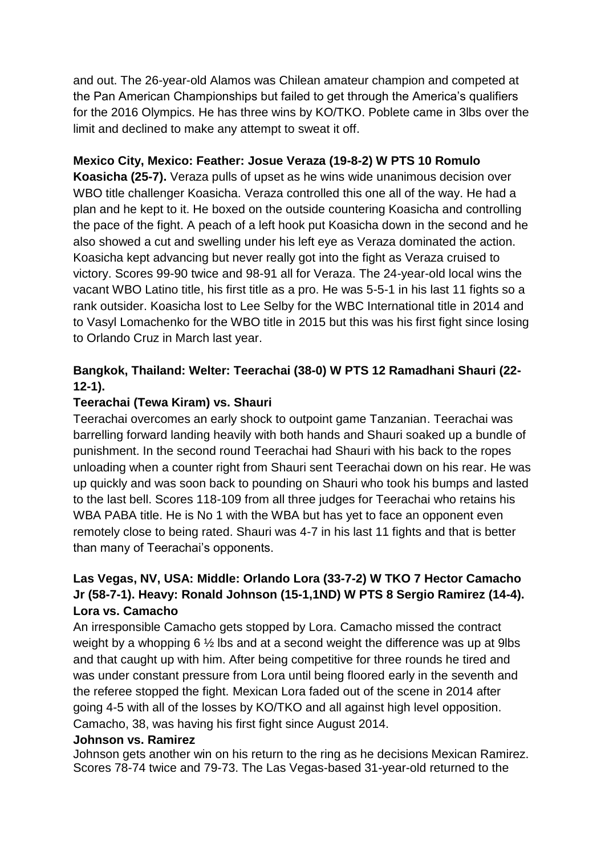and out. The 26-year-old Alamos was Chilean amateur champion and competed at the Pan American Championships but failed to get through the America's qualifiers for the 2016 Olympics. He has three wins by KO/TKO. Poblete came in 3lbs over the limit and declined to make any attempt to sweat it off.

## **Mexico City, Mexico: Feather: Josue Veraza (19-8-2) W PTS 10 Romulo**

**Koasicha (25-7).** Veraza pulls of upset as he wins wide unanimous decision over WBO title challenger Koasicha. Veraza controlled this one all of the way. He had a plan and he kept to it. He boxed on the outside countering Koasicha and controlling the pace of the fight. A peach of a left hook put Koasicha down in the second and he also showed a cut and swelling under his left eye as Veraza dominated the action. Koasicha kept advancing but never really got into the fight as Veraza cruised to victory. Scores 99-90 twice and 98-91 all for Veraza. The 24-year-old local wins the vacant WBO Latino title, his first title as a pro. He was 5-5-1 in his last 11 fights so a rank outsider. Koasicha lost to Lee Selby for the WBC International title in 2014 and to Vasyl Lomachenko for the WBO title in 2015 but this was his first fight since losing to Orlando Cruz in March last year.

## **Bangkok, Thailand: Welter: Teerachai (38-0) W PTS 12 Ramadhani Shauri (22- 12-1).**

## **Teerachai (Tewa Kiram) vs. Shauri**

Teerachai overcomes an early shock to outpoint game Tanzanian. Teerachai was barrelling forward landing heavily with both hands and Shauri soaked up a bundle of punishment. In the second round Teerachai had Shauri with his back to the ropes unloading when a counter right from Shauri sent Teerachai down on his rear. He was up quickly and was soon back to pounding on Shauri who took his bumps and lasted to the last bell. Scores 118-109 from all three judges for Teerachai who retains his WBA PABA title. He is No 1 with the WBA but has yet to face an opponent even remotely close to being rated. Shauri was 4-7 in his last 11 fights and that is better than many of Teerachai's opponents.

## **Las Vegas, NV, USA: Middle: Orlando Lora (33-7-2) W TKO 7 Hector Camacho Jr (58-7-1). Heavy: Ronald Johnson (15-1,1ND) W PTS 8 Sergio Ramirez (14-4). Lora vs. Camacho**

An irresponsible Camacho gets stopped by Lora. Camacho missed the contract weight by a whopping 6 ½ lbs and at a second weight the difference was up at 9lbs and that caught up with him. After being competitive for three rounds he tired and was under constant pressure from Lora until being floored early in the seventh and the referee stopped the fight. Mexican Lora faded out of the scene in 2014 after going 4-5 with all of the losses by KO/TKO and all against high level opposition. Camacho, 38, was having his first fight since August 2014.

## **Johnson vs. Ramirez**

Johnson gets another win on his return to the ring as he decisions Mexican Ramirez. Scores 78-74 twice and 79-73. The Las Vegas-based 31-year-old returned to the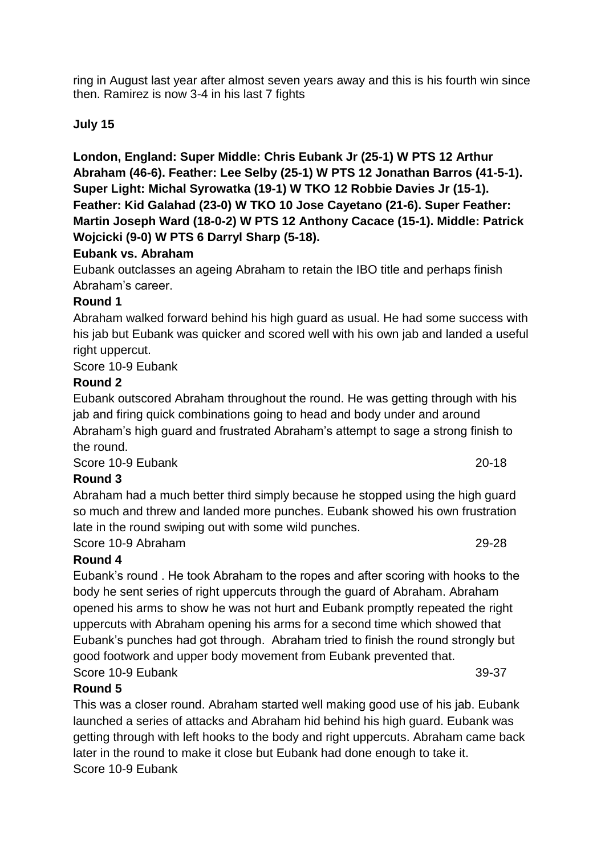ring in August last year after almost seven years away and this is his fourth win since then. Ramirez is now 3-4 in his last 7 fights

## **July 15**

**London, England: Super Middle: Chris Eubank Jr (25-1) W PTS 12 Arthur Abraham (46-6). Feather: Lee Selby (25-1) W PTS 12 Jonathan Barros (41-5-1). Super Light: Michal Syrowatka (19-1) W TKO 12 Robbie Davies Jr (15-1). Feather: Kid Galahad (23-0) W TKO 10 Jose Cayetano (21-6). Super Feather: Martin Joseph Ward (18-0-2) W PTS 12 Anthony Cacace (15-1). Middle: Patrick Wojcicki (9-0) W PTS 6 Darryl Sharp (5-18).**

## **Eubank vs. Abraham**

Eubank outclasses an ageing Abraham to retain the IBO title and perhaps finish Abraham's career.

#### **Round 1**

Abraham walked forward behind his high guard as usual. He had some success with his jab but Eubank was quicker and scored well with his own jab and landed a useful right uppercut.

Score 10-9 Eubank

## **Round 2**

Eubank outscored Abraham throughout the round. He was getting through with his jab and firing quick combinations going to head and body under and around Abraham's high guard and frustrated Abraham's attempt to sage a strong finish to the round.

Score 10-9 Eubank 20-18

## **Round 3**

Abraham had a much better third simply because he stopped using the high guard so much and threw and landed more punches. Eubank showed his own frustration late in the round swiping out with some wild punches.

Score 10-9 Abraham 29-28

## **Round 4**

Eubank's round . He took Abraham to the ropes and after scoring with hooks to the body he sent series of right uppercuts through the guard of Abraham. Abraham opened his arms to show he was not hurt and Eubank promptly repeated the right uppercuts with Abraham opening his arms for a second time which showed that Eubank's punches had got through. Abraham tried to finish the round strongly but good footwork and upper body movement from Eubank prevented that. Score 10-9 Eubank 39-37

## **Round 5**

This was a closer round. Abraham started well making good use of his jab. Eubank launched a series of attacks and Abraham hid behind his high guard. Eubank was getting through with left hooks to the body and right uppercuts. Abraham came back later in the round to make it close but Eubank had done enough to take it. Score 10-9 Eubank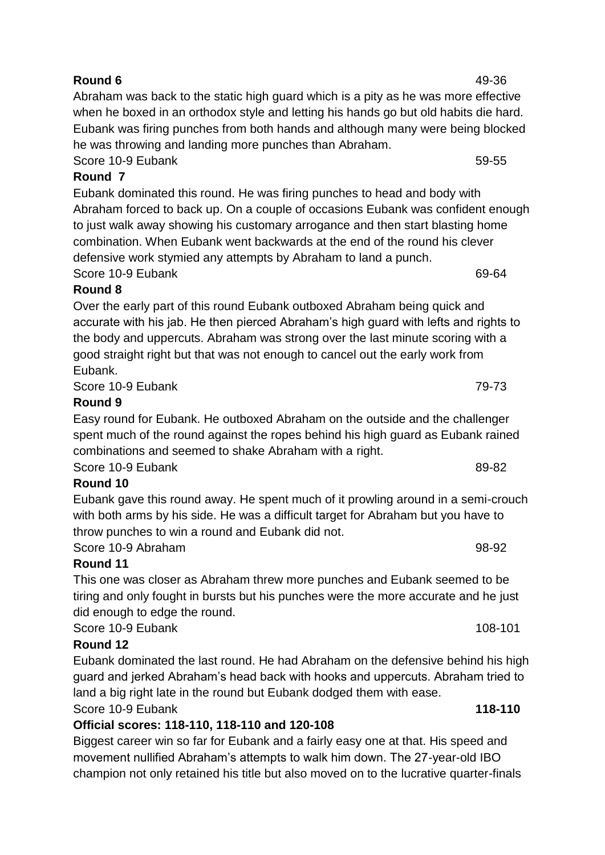**Round 6** 49-36 Abraham was back to the static high guard which is a pity as he was more effective when he boxed in an orthodox style and letting his hands go but old habits die hard. Eubank was firing punches from both hands and although many were being blocked he was throwing and landing more punches than Abraham. Score 10-9 Eubank 59-55

**Round 7**

Eubank dominated this round. He was firing punches to head and body with Abraham forced to back up. On a couple of occasions Eubank was confident enough to just walk away showing his customary arrogance and then start blasting home combination. When Eubank went backwards at the end of the round his clever defensive work stymied any attempts by Abraham to land a punch. Score 10-9 Fubank 69-64

# **Round 8**

Over the early part of this round Eubank outboxed Abraham being quick and accurate with his jab. He then pierced Abraham's high guard with lefts and rights to the body and uppercuts. Abraham was strong over the last minute scoring with a good straight right but that was not enough to cancel out the early work from Eubank.

Score 10-9 Eubank 79-73

# **Round 9**

Easy round for Eubank. He outboxed Abraham on the outside and the challenger spent much of the round against the ropes behind his high guard as Eubank rained combinations and seemed to shake Abraham with a right.

Score 10-9 Eubank 89-82

# **Round 10**

Eubank gave this round away. He spent much of it prowling around in a semi-crouch with both arms by his side. He was a difficult target for Abraham but you have to throw punches to win a round and Eubank did not.

Score 10-9 Abraham 98-92 **Round 11**

This one was closer as Abraham threw more punches and Eubank seemed to be tiring and only fought in bursts but his punches were the more accurate and he just did enough to edge the round.

Score 10-9 Eubank 108-101 and 108-101

# **Round 12**

Eubank dominated the last round. He had Abraham on the defensive behind his high guard and jerked Abraham's head back with hooks and uppercuts. Abraham tried to land a big right late in the round but Eubank dodged them with ease.

Score 10-9 Eubank **118-110**

# **Official scores: 118-110, 118-110 and 120-108**

Biggest career win so far for Eubank and a fairly easy one at that. His speed and movement nullified Abraham's attempts to walk him down. The 27-year-old IBO champion not only retained his title but also moved on to the lucrative quarter-finals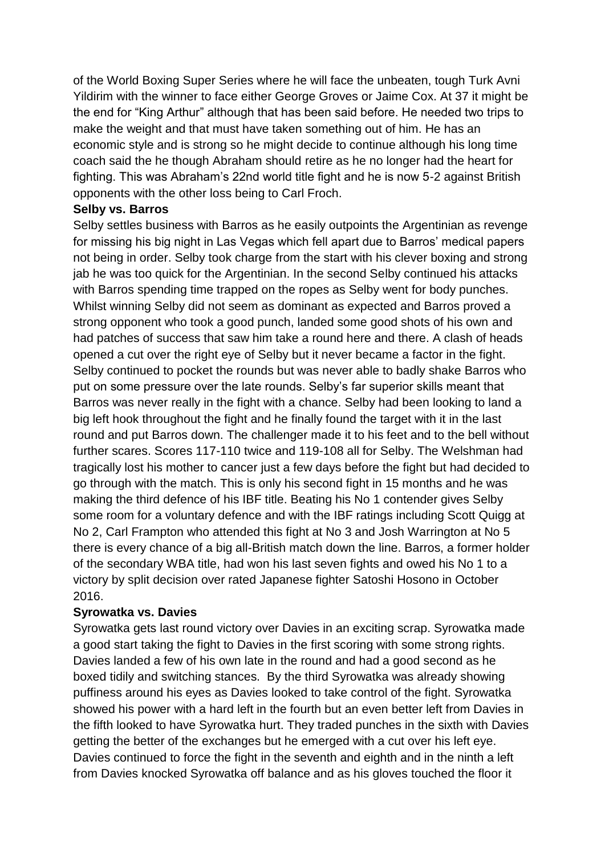of the World Boxing Super Series where he will face the unbeaten, tough Turk Avni Yildirim with the winner to face either George Groves or Jaime Cox. At 37 it might be the end for "King Arthur" although that has been said before. He needed two trips to make the weight and that must have taken something out of him. He has an economic style and is strong so he might decide to continue although his long time coach said the he though Abraham should retire as he no longer had the heart for fighting. This was Abraham's 22nd world title fight and he is now 5-2 against British opponents with the other loss being to Carl Froch.

#### **Selby vs. Barros**

Selby settles business with Barros as he easily outpoints the Argentinian as revenge for missing his big night in Las Vegas which fell apart due to Barros' medical papers not being in order. Selby took charge from the start with his clever boxing and strong jab he was too quick for the Argentinian. In the second Selby continued his attacks with Barros spending time trapped on the ropes as Selby went for body punches. Whilst winning Selby did not seem as dominant as expected and Barros proved a strong opponent who took a good punch, landed some good shots of his own and had patches of success that saw him take a round here and there. A clash of heads opened a cut over the right eye of Selby but it never became a factor in the fight. Selby continued to pocket the rounds but was never able to badly shake Barros who put on some pressure over the late rounds. Selby's far superior skills meant that Barros was never really in the fight with a chance. Selby had been looking to land a big left hook throughout the fight and he finally found the target with it in the last round and put Barros down. The challenger made it to his feet and to the bell without further scares. Scores 117-110 twice and 119-108 all for Selby. The Welshman had tragically lost his mother to cancer just a few days before the fight but had decided to go through with the match. This is only his second fight in 15 months and he was making the third defence of his IBF title. Beating his No 1 contender gives Selby some room for a voluntary defence and with the IBF ratings including Scott Quigg at No 2, Carl Frampton who attended this fight at No 3 and Josh Warrington at No 5 there is every chance of a big all-British match down the line. Barros, a former holder of the secondary WBA title, had won his last seven fights and owed his No 1 to a victory by split decision over rated Japanese fighter Satoshi Hosono in October 2016.

## **Syrowatka vs. Davies**

Syrowatka gets last round victory over Davies in an exciting scrap. Syrowatka made a good start taking the fight to Davies in the first scoring with some strong rights. Davies landed a few of his own late in the round and had a good second as he boxed tidily and switching stances. By the third Syrowatka was already showing puffiness around his eyes as Davies looked to take control of the fight. Syrowatka showed his power with a hard left in the fourth but an even better left from Davies in the fifth looked to have Syrowatka hurt. They traded punches in the sixth with Davies getting the better of the exchanges but he emerged with a cut over his left eye. Davies continued to force the fight in the seventh and eighth and in the ninth a left from Davies knocked Syrowatka off balance and as his gloves touched the floor it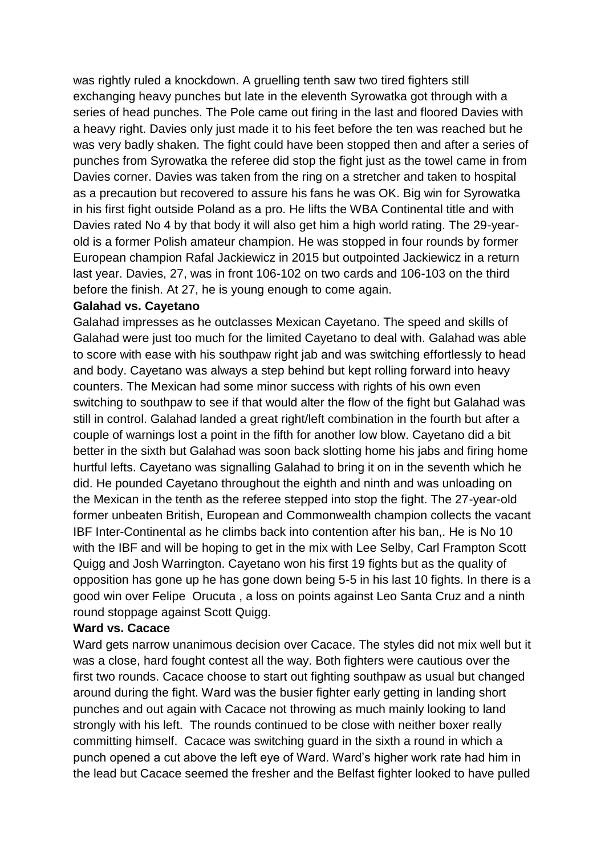was rightly ruled a knockdown. A gruelling tenth saw two tired fighters still exchanging heavy punches but late in the eleventh Syrowatka got through with a series of head punches. The Pole came out firing in the last and floored Davies with a heavy right. Davies only just made it to his feet before the ten was reached but he was very badly shaken. The fight could have been stopped then and after a series of punches from Syrowatka the referee did stop the fight just as the towel came in from Davies corner. Davies was taken from the ring on a stretcher and taken to hospital as a precaution but recovered to assure his fans he was OK. Big win for Syrowatka in his first fight outside Poland as a pro. He lifts the WBA Continental title and with Davies rated No 4 by that body it will also get him a high world rating. The 29-yearold is a former Polish amateur champion. He was stopped in four rounds by former European champion Rafal Jackiewicz in 2015 but outpointed Jackiewicz in a return last year. Davies, 27, was in front 106-102 on two cards and 106-103 on the third before the finish. At 27, he is young enough to come again.

#### **Galahad vs. Cayetano**

Galahad impresses as he outclasses Mexican Cayetano. The speed and skills of Galahad were just too much for the limited Cayetano to deal with. Galahad was able to score with ease with his southpaw right jab and was switching effortlessly to head and body. Cayetano was always a step behind but kept rolling forward into heavy counters. The Mexican had some minor success with rights of his own even switching to southpaw to see if that would alter the flow of the fight but Galahad was still in control. Galahad landed a great right/left combination in the fourth but after a couple of warnings lost a point in the fifth for another low blow. Cayetano did a bit better in the sixth but Galahad was soon back slotting home his jabs and firing home hurtful lefts. Cayetano was signalling Galahad to bring it on in the seventh which he did. He pounded Cayetano throughout the eighth and ninth and was unloading on the Mexican in the tenth as the referee stepped into stop the fight. The 27-year-old former unbeaten British, European and Commonwealth champion collects the vacant IBF Inter-Continental as he climbs back into contention after his ban,. He is No 10 with the IBF and will be hoping to get in the mix with Lee Selby, Carl Frampton Scott Quigg and Josh Warrington. Cayetano won his first 19 fights but as the quality of opposition has gone up he has gone down being 5-5 in his last 10 fights. In there is a good win over Felipe Orucuta , a loss on points against Leo Santa Cruz and a ninth round stoppage against Scott Quigg.

#### **Ward vs. Cacace**

Ward gets narrow unanimous decision over Cacace. The styles did not mix well but it was a close, hard fought contest all the way. Both fighters were cautious over the first two rounds. Cacace choose to start out fighting southpaw as usual but changed around during the fight. Ward was the busier fighter early getting in landing short punches and out again with Cacace not throwing as much mainly looking to land strongly with his left. The rounds continued to be close with neither boxer really committing himself. Cacace was switching guard in the sixth a round in which a punch opened a cut above the left eye of Ward. Ward's higher work rate had him in the lead but Cacace seemed the fresher and the Belfast fighter looked to have pulled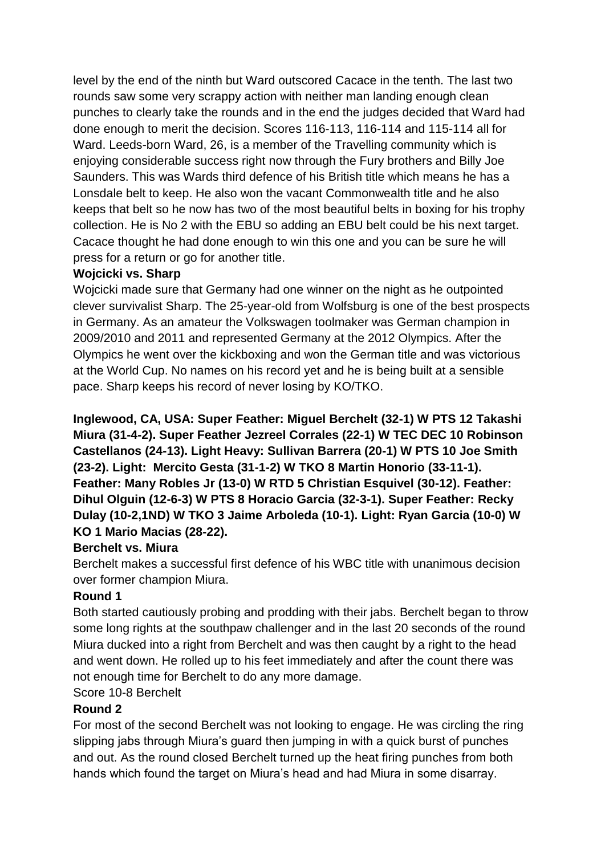level by the end of the ninth but Ward outscored Cacace in the tenth. The last two rounds saw some very scrappy action with neither man landing enough clean punches to clearly take the rounds and in the end the judges decided that Ward had done enough to merit the decision. Scores 116-113, 116-114 and 115-114 all for Ward. Leeds-born Ward, 26, is a member of the Travelling community which is enjoying considerable success right now through the Fury brothers and Billy Joe Saunders. This was Wards third defence of his British title which means he has a Lonsdale belt to keep. He also won the vacant Commonwealth title and he also keeps that belt so he now has two of the most beautiful belts in boxing for his trophy collection. He is No 2 with the EBU so adding an EBU belt could be his next target. Cacace thought he had done enough to win this one and you can be sure he will press for a return or go for another title.

## **Wojcicki vs. Sharp**

Wojcicki made sure that Germany had one winner on the night as he outpointed clever survivalist Sharp. The 25-year-old from Wolfsburg is one of the best prospects in Germany. As an amateur the Volkswagen toolmaker was German champion in 2009/2010 and 2011 and represented Germany at the 2012 Olympics. After the Olympics he went over the kickboxing and won the German title and was victorious at the World Cup. No names on his record yet and he is being built at a sensible pace. Sharp keeps his record of never losing by KO/TKO.

**Inglewood, CA, USA: Super Feather: Miguel Berchelt (32-1) W PTS 12 Takashi Miura (31-4-2). Super Feather Jezreel Corrales (22-1) W TEC DEC 10 Robinson Castellanos (24-13). Light Heavy: Sullivan Barrera (20-1) W PTS 10 Joe Smith (23-2). Light: Mercito Gesta (31-1-2) W TKO 8 Martin Honorio (33-11-1). Feather: Many Robles Jr (13-0) W RTD 5 Christian Esquivel (30-12). Feather: Dihul Olguin (12-6-3) W PTS 8 Horacio Garcia (32-3-1). Super Feather: Recky Dulay (10-2,1ND) W TKO 3 Jaime Arboleda (10-1). Light: Ryan Garcia (10-0) W KO 1 Mario Macias (28-22).**

## **Berchelt vs. Miura**

Berchelt makes a successful first defence of his WBC title with unanimous decision over former champion Miura.

## **Round 1**

Both started cautiously probing and prodding with their jabs. Berchelt began to throw some long rights at the southpaw challenger and in the last 20 seconds of the round Miura ducked into a right from Berchelt and was then caught by a right to the head and went down. He rolled up to his feet immediately and after the count there was not enough time for Berchelt to do any more damage.

## Score 10-8 Berchelt

## **Round 2**

For most of the second Berchelt was not looking to engage. He was circling the ring slipping jabs through Miura's guard then jumping in with a quick burst of punches and out. As the round closed Berchelt turned up the heat firing punches from both hands which found the target on Miura's head and had Miura in some disarray.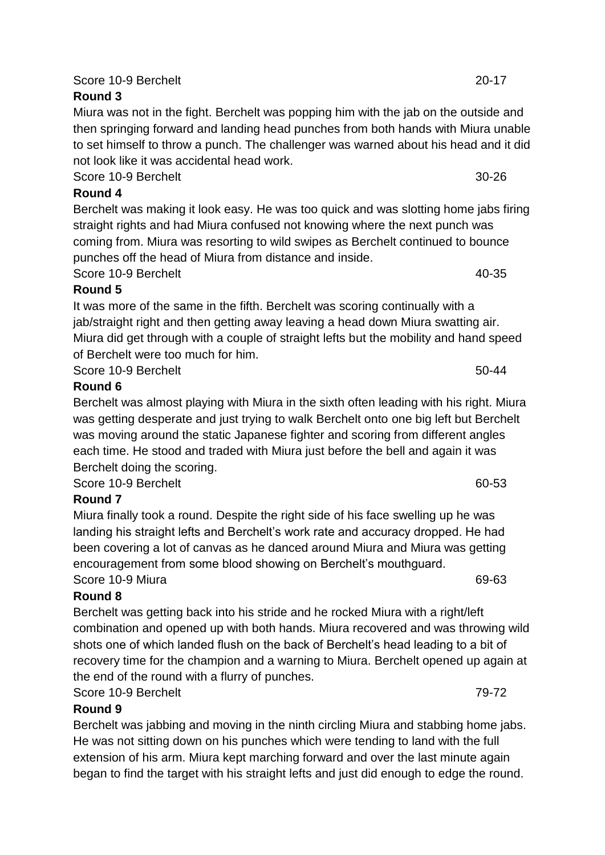Score 10-9 Berchelt 20-17

## **Round 3**

Miura was not in the fight. Berchelt was popping him with the jab on the outside and then springing forward and landing head punches from both hands with Miura unable to set himself to throw a punch. The challenger was warned about his head and it did not look like it was accidental head work.

Score 10-9 Berchelt 30-26

# **Round 4**

Berchelt was making it look easy. He was too quick and was slotting home jabs firing straight rights and had Miura confused not knowing where the next punch was coming from. Miura was resorting to wild swipes as Berchelt continued to bounce punches off the head of Miura from distance and inside.

Score 10-9 Berchelt 40-35

# **Round 5**

It was more of the same in the fifth. Berchelt was scoring continually with a jab/straight right and then getting away leaving a head down Miura swatting air. Miura did get through with a couple of straight lefts but the mobility and hand speed of Berchelt were too much for him.

Score 10-9 Berchelt 50-44

# **Round 6**

Berchelt was almost playing with Miura in the sixth often leading with his right. Miura was getting desperate and just trying to walk Berchelt onto one big left but Berchelt was moving around the static Japanese fighter and scoring from different angles each time. He stood and traded with Miura just before the bell and again it was Berchelt doing the scoring.

Score 10-9 Berchelt 60-53

# **Round 7**

Miura finally took a round. Despite the right side of his face swelling up he was landing his straight lefts and Berchelt's work rate and accuracy dropped. He had been covering a lot of canvas as he danced around Miura and Miura was getting encouragement from some blood showing on Berchelt's mouthguard. Score 10-9 Miura 69-63

# **Round 8**

Berchelt was getting back into his stride and he rocked Miura with a right/left combination and opened up with both hands. Miura recovered and was throwing wild shots one of which landed flush on the back of Berchelt's head leading to a bit of recovery time for the champion and a warning to Miura. Berchelt opened up again at the end of the round with a flurry of punches.

# Score 10-9 Berchelt 79-72

# **Round 9**

Berchelt was jabbing and moving in the ninth circling Miura and stabbing home jabs. He was not sitting down on his punches which were tending to land with the full extension of his arm. Miura kept marching forward and over the last minute again began to find the target with his straight lefts and just did enough to edge the round.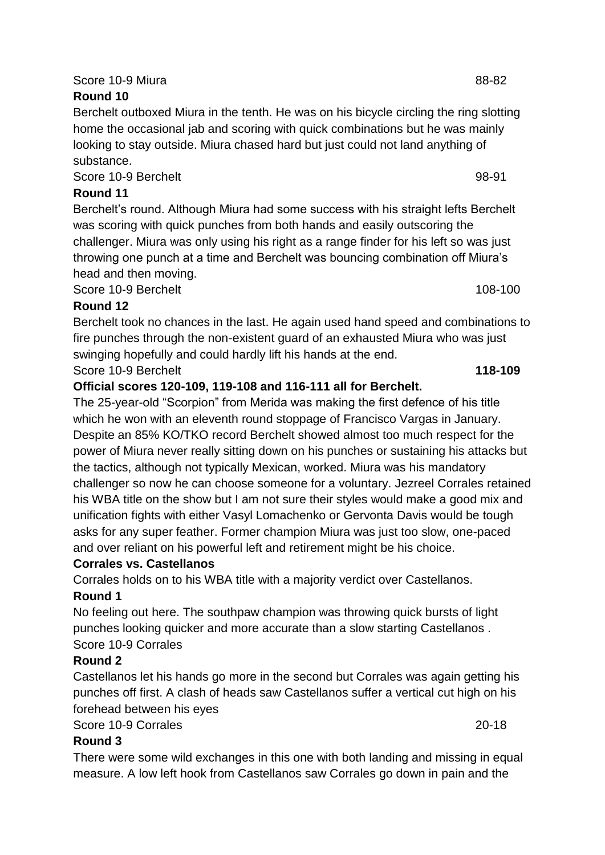## Score 10-9 Miura 88-82

## **Round 10**

Berchelt outboxed Miura in the tenth. He was on his bicycle circling the ring slotting home the occasional jab and scoring with quick combinations but he was mainly looking to stay outside. Miura chased hard but just could not land anything of substance.

Score 10-9 Berchelt 98-91

## **Round 11**

Berchelt's round. Although Miura had some success with his straight lefts Berchelt was scoring with quick punches from both hands and easily outscoring the challenger. Miura was only using his right as a range finder for his left so was just throwing one punch at a time and Berchelt was bouncing combination off Miura's head and then moving.

Score 10-9 Berchelt 108-100

## **Round 12**

Berchelt took no chances in the last. He again used hand speed and combinations to fire punches through the non-existent guard of an exhausted Miura who was just swinging hopefully and could hardly lift his hands at the end.

Score 10-9 Berchelt **118-109**

## **Official scores 120-109, 119-108 and 116-111 all for Berchelt.**

The 25-year-old "Scorpion" from Merida was making the first defence of his title which he won with an eleventh round stoppage of Francisco Vargas in January. Despite an 85% KO/TKO record Berchelt showed almost too much respect for the power of Miura never really sitting down on his punches or sustaining his attacks but the tactics, although not typically Mexican, worked. Miura was his mandatory challenger so now he can choose someone for a voluntary. Jezreel Corrales retained his WBA title on the show but I am not sure their styles would make a good mix and unification fights with either Vasyl Lomachenko or Gervonta Davis would be tough asks for any super feather. Former champion Miura was just too slow, one-paced and over reliant on his powerful left and retirement might be his choice.

## **Corrales vs. Castellanos**

Corrales holds on to his WBA title with a majority verdict over Castellanos.

## **Round 1**

No feeling out here. The southpaw champion was throwing quick bursts of light punches looking quicker and more accurate than a slow starting Castellanos . Score 10-9 Corrales

## **Round 2**

Castellanos let his hands go more in the second but Corrales was again getting his punches off first. A clash of heads saw Castellanos suffer a vertical cut high on his forehead between his eyes

## Score 10-9 Corrales 20-18

## **Round 3**

There were some wild exchanges in this one with both landing and missing in equal measure. A low left hook from Castellanos saw Corrales go down in pain and the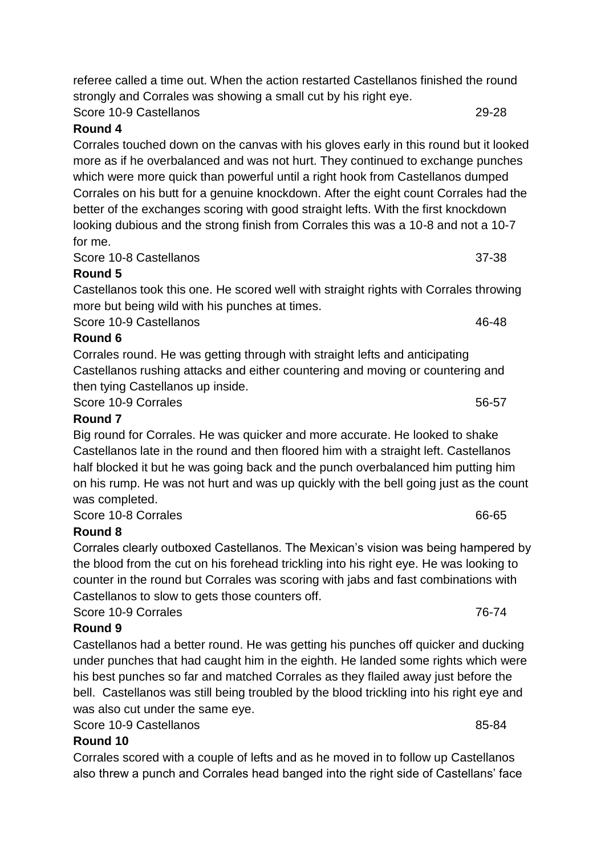#### Score 10-9 Castellanos 29-28

#### **Round 4**

Corrales touched down on the canvas with his gloves early in this round but it looked more as if he overbalanced and was not hurt. They continued to exchange punches which were more quick than powerful until a right hook from Castellanos dumped Corrales on his butt for a genuine knockdown. After the eight count Corrales had the better of the exchanges scoring with good straight lefts. With the first knockdown looking dubious and the strong finish from Corrales this was a 10-8 and not a 10-7 for me.

Score 10-8 Castellanos 37-38

## **Round 5**

Castellanos took this one. He scored well with straight rights with Corrales throwing more but being wild with his punches at times.

Score 10-9 Castellanos 46-48

## **Round 6**

Corrales round. He was getting through with straight lefts and anticipating Castellanos rushing attacks and either countering and moving or countering and then tying Castellanos up inside.

Score 10-9 Corrales 56-57

## **Round 7**

Big round for Corrales. He was quicker and more accurate. He looked to shake Castellanos late in the round and then floored him with a straight left. Castellanos half blocked it but he was going back and the punch overbalanced him putting him on his rump. He was not hurt and was up quickly with the bell going just as the count was completed.

Score 10-8 Corrales 66-65

## **Round 8**

Corrales clearly outboxed Castellanos. The Mexican's vision was being hampered by the blood from the cut on his forehead trickling into his right eye. He was looking to counter in the round but Corrales was scoring with jabs and fast combinations with Castellanos to slow to gets those counters off.

Score 10-9 Corrales 76-74

## **Round 9**

Castellanos had a better round. He was getting his punches off quicker and ducking under punches that had caught him in the eighth. He landed some rights which were his best punches so far and matched Corrales as they flailed away just before the bell. Castellanos was still being troubled by the blood trickling into his right eye and was also cut under the same eye.

Score 10-9 Castellanos **85-84** 

## **Round 10**

Corrales scored with a couple of lefts and as he moved in to follow up Castellanos also threw a punch and Corrales head banged into the right side of Castellans' face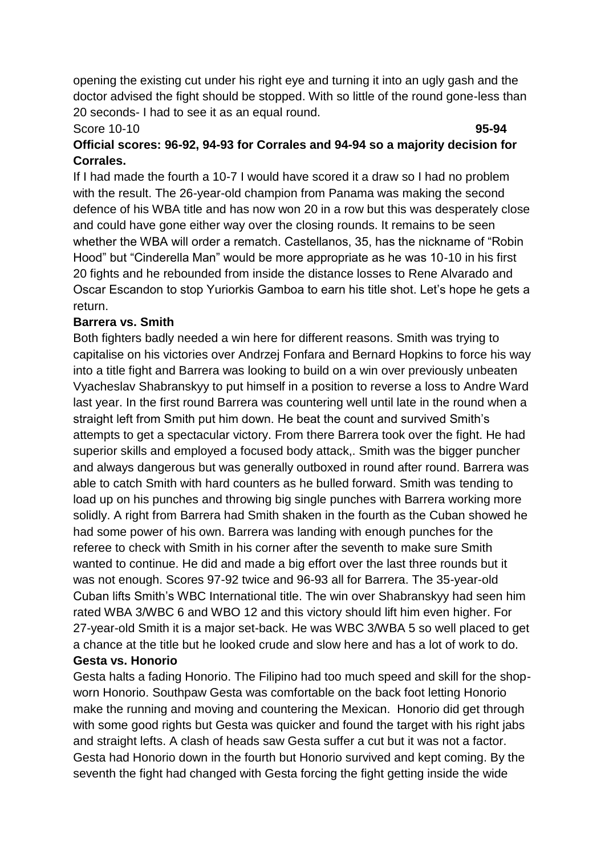opening the existing cut under his right eye and turning it into an ugly gash and the doctor advised the fight should be stopped. With so little of the round gone-less than 20 seconds- I had to see it as an equal round.

#### Score 10-10 **95-94**

## **Official scores: 96-92, 94-93 for Corrales and 94-94 so a majority decision for Corrales.**

If I had made the fourth a 10-7 I would have scored it a draw so I had no problem with the result. The 26-year-old champion from Panama was making the second defence of his WBA title and has now won 20 in a row but this was desperately close and could have gone either way over the closing rounds. It remains to be seen whether the WBA will order a rematch. Castellanos, 35, has the nickname of "Robin Hood" but "Cinderella Man" would be more appropriate as he was 10-10 in his first 20 fights and he rebounded from inside the distance losses to Rene Alvarado and Oscar Escandon to stop Yuriorkis Gamboa to earn his title shot. Let's hope he gets a return.

## **Barrera vs. Smith**

Both fighters badly needed a win here for different reasons. Smith was trying to capitalise on his victories over Andrzej Fonfara and Bernard Hopkins to force his way into a title fight and Barrera was looking to build on a win over previously unbeaten Vyacheslav Shabranskyy to put himself in a position to reverse a loss to Andre Ward last year. In the first round Barrera was countering well until late in the round when a straight left from Smith put him down. He beat the count and survived Smith's attempts to get a spectacular victory. From there Barrera took over the fight. He had superior skills and employed a focused body attack,. Smith was the bigger puncher and always dangerous but was generally outboxed in round after round. Barrera was able to catch Smith with hard counters as he bulled forward. Smith was tending to load up on his punches and throwing big single punches with Barrera working more solidly. A right from Barrera had Smith shaken in the fourth as the Cuban showed he had some power of his own. Barrera was landing with enough punches for the referee to check with Smith in his corner after the seventh to make sure Smith wanted to continue. He did and made a big effort over the last three rounds but it was not enough. Scores 97-92 twice and 96-93 all for Barrera. The 35-year-old Cuban lifts Smith's WBC International title. The win over Shabranskyy had seen him rated WBA 3/WBC 6 and WBO 12 and this victory should lift him even higher. For 27-year-old Smith it is a major set-back. He was WBC 3/WBA 5 so well placed to get a chance at the title but he looked crude and slow here and has a lot of work to do. **Gesta vs. Honorio**

Gesta halts a fading Honorio. The Filipino had too much speed and skill for the shopworn Honorio. Southpaw Gesta was comfortable on the back foot letting Honorio make the running and moving and countering the Mexican. Honorio did get through with some good rights but Gesta was quicker and found the target with his right jabs and straight lefts. A clash of heads saw Gesta suffer a cut but it was not a factor. Gesta had Honorio down in the fourth but Honorio survived and kept coming. By the seventh the fight had changed with Gesta forcing the fight getting inside the wide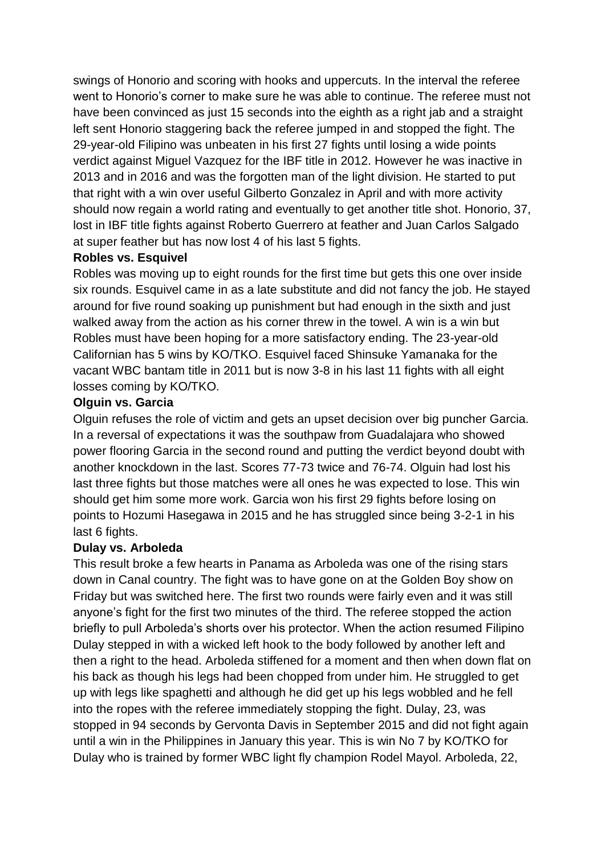swings of Honorio and scoring with hooks and uppercuts. In the interval the referee went to Honorio's corner to make sure he was able to continue. The referee must not have been convinced as just 15 seconds into the eighth as a right jab and a straight left sent Honorio staggering back the referee jumped in and stopped the fight. The 29-year-old Filipino was unbeaten in his first 27 fights until losing a wide points verdict against Miguel Vazquez for the IBF title in 2012. However he was inactive in 2013 and in 2016 and was the forgotten man of the light division. He started to put that right with a win over useful Gilberto Gonzalez in April and with more activity should now regain a world rating and eventually to get another title shot. Honorio, 37, lost in IBF title fights against Roberto Guerrero at feather and Juan Carlos Salgado at super feather but has now lost 4 of his last 5 fights.

#### **Robles vs. Esquivel**

Robles was moving up to eight rounds for the first time but gets this one over inside six rounds. Esquivel came in as a late substitute and did not fancy the job. He stayed around for five round soaking up punishment but had enough in the sixth and just walked away from the action as his corner threw in the towel. A win is a win but Robles must have been hoping for a more satisfactory ending. The 23-year-old Californian has 5 wins by KO/TKO. Esquivel faced Shinsuke Yamanaka for the vacant WBC bantam title in 2011 but is now 3-8 in his last 11 fights with all eight losses coming by KO/TKO.

#### **Olguin vs. Garcia**

Olguin refuses the role of victim and gets an upset decision over big puncher Garcia. In a reversal of expectations it was the southpaw from Guadalajara who showed power flooring Garcia in the second round and putting the verdict beyond doubt with another knockdown in the last. Scores 77-73 twice and 76-74. Olguin had lost his last three fights but those matches were all ones he was expected to lose. This win should get him some more work. Garcia won his first 29 fights before losing on points to Hozumi Hasegawa in 2015 and he has struggled since being 3-2-1 in his last 6 fights.

## **Dulay vs. Arboleda**

This result broke a few hearts in Panama as Arboleda was one of the rising stars down in Canal country. The fight was to have gone on at the Golden Boy show on Friday but was switched here. The first two rounds were fairly even and it was still anyone's fight for the first two minutes of the third. The referee stopped the action briefly to pull Arboleda's shorts over his protector. When the action resumed Filipino Dulay stepped in with a wicked left hook to the body followed by another left and then a right to the head. Arboleda stiffened for a moment and then when down flat on his back as though his legs had been chopped from under him. He struggled to get up with legs like spaghetti and although he did get up his legs wobbled and he fell into the ropes with the referee immediately stopping the fight. Dulay, 23, was stopped in 94 seconds by Gervonta Davis in September 2015 and did not fight again until a win in the Philippines in January this year. This is win No 7 by KO/TKO for Dulay who is trained by former WBC light fly champion Rodel Mayol. Arboleda, 22,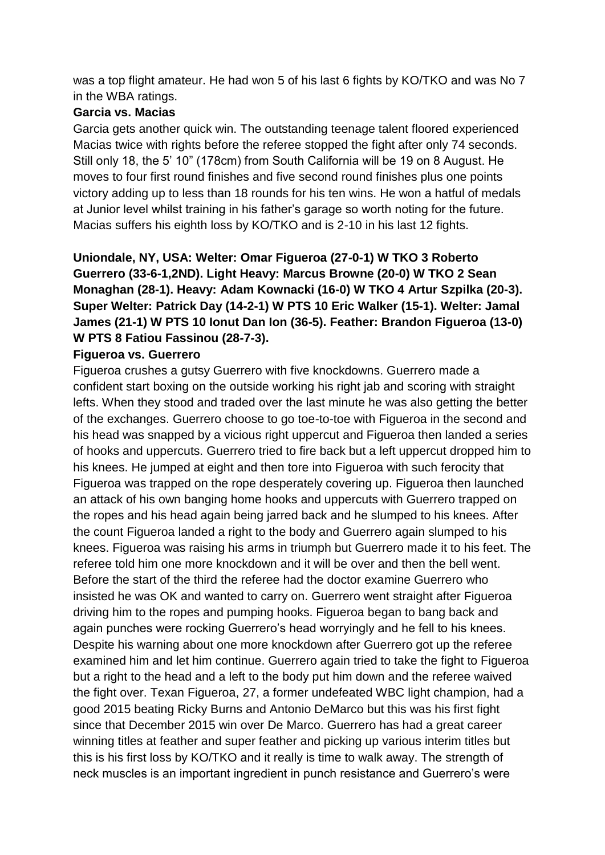was a top flight amateur. He had won 5 of his last 6 fights by KO/TKO and was No 7 in the WBA ratings.

## **Garcia vs. Macias**

Garcia gets another quick win. The outstanding teenage talent floored experienced Macias twice with rights before the referee stopped the fight after only 74 seconds. Still only 18, the 5' 10" (178cm) from South California will be 19 on 8 August. He moves to four first round finishes and five second round finishes plus one points victory adding up to less than 18 rounds for his ten wins. He won a hatful of medals at Junior level whilst training in his father's garage so worth noting for the future. Macias suffers his eighth loss by KO/TKO and is 2-10 in his last 12 fights.

**Uniondale, NY, USA: Welter: Omar Figueroa (27-0-1) W TKO 3 Roberto Guerrero (33-6-1,2ND). Light Heavy: Marcus Browne (20-0) W TKO 2 Sean Monaghan (28-1). Heavy: Adam Kownacki (16-0) W TKO 4 Artur Szpilka (20-3). Super Welter: Patrick Day (14-2-1) W PTS 10 Eric Walker (15-1). Welter: Jamal James (21-1) W PTS 10 Ionut Dan Ion (36-5). Feather: Brandon Figueroa (13-0) W PTS 8 Fatiou Fassinou (28-7-3).**

## **Figueroa vs. Guerrero**

Figueroa crushes a gutsy Guerrero with five knockdowns. Guerrero made a confident start boxing on the outside working his right jab and scoring with straight lefts. When they stood and traded over the last minute he was also getting the better of the exchanges. Guerrero choose to go toe-to-toe with Figueroa in the second and his head was snapped by a vicious right uppercut and Figueroa then landed a series of hooks and uppercuts. Guerrero tried to fire back but a left uppercut dropped him to his knees. He jumped at eight and then tore into Figueroa with such ferocity that Figueroa was trapped on the rope desperately covering up. Figueroa then launched an attack of his own banging home hooks and uppercuts with Guerrero trapped on the ropes and his head again being jarred back and he slumped to his knees. After the count Figueroa landed a right to the body and Guerrero again slumped to his knees. Figueroa was raising his arms in triumph but Guerrero made it to his feet. The referee told him one more knockdown and it will be over and then the bell went. Before the start of the third the referee had the doctor examine Guerrero who insisted he was OK and wanted to carry on. Guerrero went straight after Figueroa driving him to the ropes and pumping hooks. Figueroa began to bang back and again punches were rocking Guerrero's head worryingly and he fell to his knees. Despite his warning about one more knockdown after Guerrero got up the referee examined him and let him continue. Guerrero again tried to take the fight to Figueroa but a right to the head and a left to the body put him down and the referee waived the fight over. Texan Figueroa, 27, a former undefeated WBC light champion, had a good 2015 beating Ricky Burns and Antonio DeMarco but this was his first fight since that December 2015 win over De Marco. Guerrero has had a great career winning titles at feather and super feather and picking up various interim titles but this is his first loss by KO/TKO and it really is time to walk away. The strength of neck muscles is an important ingredient in punch resistance and Guerrero's were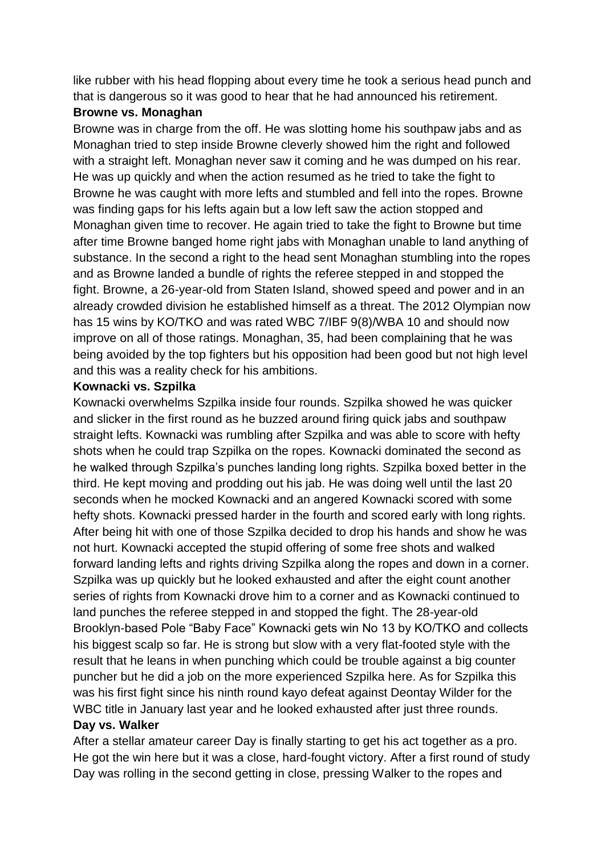like rubber with his head flopping about every time he took a serious head punch and that is dangerous so it was good to hear that he had announced his retirement.

#### **Browne vs. Monaghan**

Browne was in charge from the off. He was slotting home his southpaw jabs and as Monaghan tried to step inside Browne cleverly showed him the right and followed with a straight left. Monaghan never saw it coming and he was dumped on his rear. He was up quickly and when the action resumed as he tried to take the fight to Browne he was caught with more lefts and stumbled and fell into the ropes. Browne was finding gaps for his lefts again but a low left saw the action stopped and Monaghan given time to recover. He again tried to take the fight to Browne but time after time Browne banged home right jabs with Monaghan unable to land anything of substance. In the second a right to the head sent Monaghan stumbling into the ropes and as Browne landed a bundle of rights the referee stepped in and stopped the fight. Browne, a 26-year-old from Staten Island, showed speed and power and in an already crowded division he established himself as a threat. The 2012 Olympian now has 15 wins by KO/TKO and was rated WBC 7/IBF 9(8)/WBA 10 and should now improve on all of those ratings. Monaghan, 35, had been complaining that he was being avoided by the top fighters but his opposition had been good but not high level and this was a reality check for his ambitions.

#### **Kownacki vs. Szpilka**

Kownacki overwhelms Szpilka inside four rounds. Szpilka showed he was quicker and slicker in the first round as he buzzed around firing quick jabs and southpaw straight lefts. Kownacki was rumbling after Szpilka and was able to score with hefty shots when he could trap Szpilka on the ropes. Kownacki dominated the second as he walked through Szpilka's punches landing long rights. Szpilka boxed better in the third. He kept moving and prodding out his jab. He was doing well until the last 20 seconds when he mocked Kownacki and an angered Kownacki scored with some hefty shots. Kownacki pressed harder in the fourth and scored early with long rights. After being hit with one of those Szpilka decided to drop his hands and show he was not hurt. Kownacki accepted the stupid offering of some free shots and walked forward landing lefts and rights driving Szpilka along the ropes and down in a corner. Szpilka was up quickly but he looked exhausted and after the eight count another series of rights from Kownacki drove him to a corner and as Kownacki continued to land punches the referee stepped in and stopped the fight. The 28-year-old Brooklyn-based Pole "Baby Face" Kownacki gets win No 13 by KO/TKO and collects his biggest scalp so far. He is strong but slow with a very flat-footed style with the result that he leans in when punching which could be trouble against a big counter puncher but he did a job on the more experienced Szpilka here. As for Szpilka this was his first fight since his ninth round kayo defeat against Deontay Wilder for the WBC title in January last year and he looked exhausted after just three rounds.

#### **Day vs. Walker**

After a stellar amateur career Day is finally starting to get his act together as a pro. He got the win here but it was a close, hard-fought victory. After a first round of study Day was rolling in the second getting in close, pressing Walker to the ropes and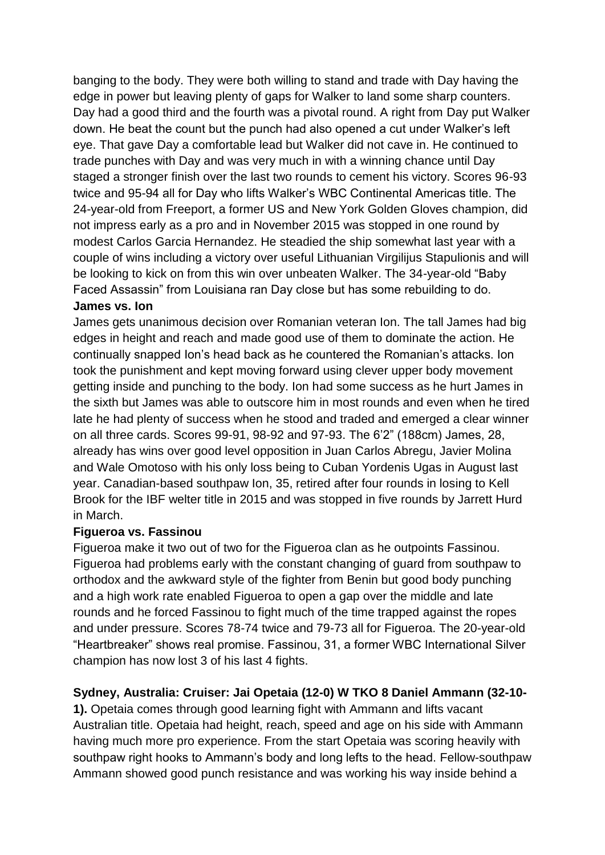banging to the body. They were both willing to stand and trade with Day having the edge in power but leaving plenty of gaps for Walker to land some sharp counters. Day had a good third and the fourth was a pivotal round. A right from Day put Walker down. He beat the count but the punch had also opened a cut under Walker's left eye. That gave Day a comfortable lead but Walker did not cave in. He continued to trade punches with Day and was very much in with a winning chance until Day staged a stronger finish over the last two rounds to cement his victory. Scores 96-93 twice and 95-94 all for Day who lifts Walker's WBC Continental Americas title. The 24-year-old from Freeport, a former US and New York Golden Gloves champion, did not impress early as a pro and in November 2015 was stopped in one round by modest Carlos Garcia Hernandez. He steadied the ship somewhat last year with a couple of wins including a victory over useful Lithuanian Virgilijus Stapulionis and will be looking to kick on from this win over unbeaten Walker. The 34-year-old "Baby Faced Assassin" from Louisiana ran Day close but has some rebuilding to do.

## **James vs. Ion**

James gets unanimous decision over Romanian veteran Ion. The tall James had big edges in height and reach and made good use of them to dominate the action. He continually snapped Ion's head back as he countered the Romanian's attacks. Ion took the punishment and kept moving forward using clever upper body movement getting inside and punching to the body. Ion had some success as he hurt James in the sixth but James was able to outscore him in most rounds and even when he tired late he had plenty of success when he stood and traded and emerged a clear winner on all three cards. Scores 99-91, 98-92 and 97-93. The 6'2" (188cm) James, 28, already has wins over good level opposition in Juan Carlos Abregu, Javier Molina and Wale Omotoso with his only loss being to Cuban Yordenis Ugas in August last year. Canadian-based southpaw Ion, 35, retired after four rounds in losing to Kell Brook for the IBF welter title in 2015 and was stopped in five rounds by Jarrett Hurd in March.

## **Figueroa vs. Fassinou**

Figueroa make it two out of two for the Figueroa clan as he outpoints Fassinou. Figueroa had problems early with the constant changing of guard from southpaw to orthodox and the awkward style of the fighter from Benin but good body punching and a high work rate enabled Figueroa to open a gap over the middle and late rounds and he forced Fassinou to fight much of the time trapped against the ropes and under pressure. Scores 78-74 twice and 79-73 all for Figueroa. The 20-year-old "Heartbreaker" shows real promise. Fassinou, 31, a former WBC International Silver champion has now lost 3 of his last 4 fights.

## **Sydney, Australia: Cruiser: Jai Opetaia (12-0) W TKO 8 Daniel Ammann (32-10-**

**1).** Opetaia comes through good learning fight with Ammann and lifts vacant Australian title. Opetaia had height, reach, speed and age on his side with Ammann having much more pro experience. From the start Opetaia was scoring heavily with southpaw right hooks to Ammann's body and long lefts to the head. Fellow-southpaw Ammann showed good punch resistance and was working his way inside behind a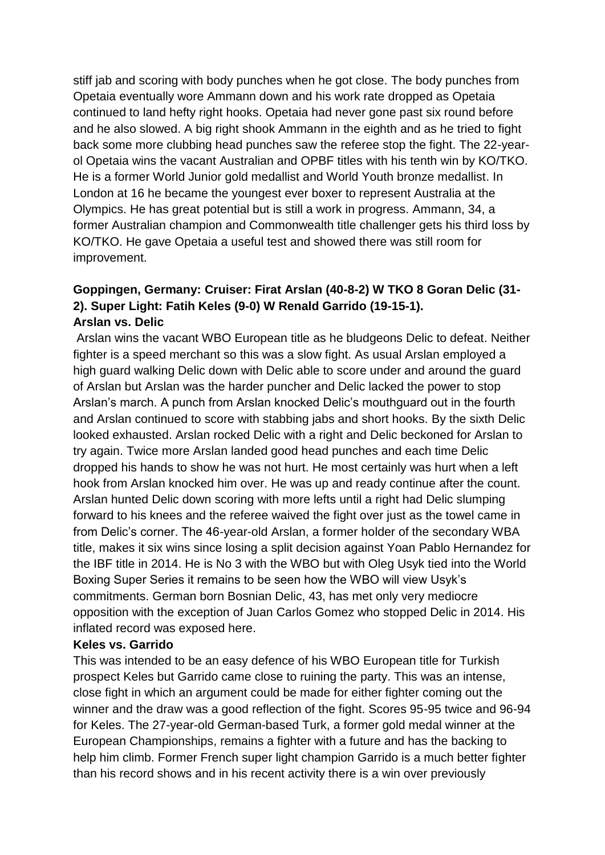stiff jab and scoring with body punches when he got close. The body punches from Opetaia eventually wore Ammann down and his work rate dropped as Opetaia continued to land hefty right hooks. Opetaia had never gone past six round before and he also slowed. A big right shook Ammann in the eighth and as he tried to fight back some more clubbing head punches saw the referee stop the fight. The 22-yearol Opetaia wins the vacant Australian and OPBF titles with his tenth win by KO/TKO. He is a former World Junior gold medallist and World Youth bronze medallist. In London at 16 he became the youngest ever boxer to represent Australia at the Olympics. He has great potential but is still a work in progress. Ammann, 34, a former Australian champion and Commonwealth title challenger gets his third loss by KO/TKO. He gave Opetaia a useful test and showed there was still room for improvement.

## **Goppingen, Germany: Cruiser: Firat Arslan (40-8-2) W TKO 8 Goran Delic (31- 2). Super Light: Fatih Keles (9-0) W Renald Garrido (19-15-1). Arslan vs. Delic**

Arslan wins the vacant WBO European title as he bludgeons Delic to defeat. Neither fighter is a speed merchant so this was a slow fight. As usual Arslan employed a high guard walking Delic down with Delic able to score under and around the guard of Arslan but Arslan was the harder puncher and Delic lacked the power to stop Arslan's march. A punch from Arslan knocked Delic's mouthguard out in the fourth and Arslan continued to score with stabbing jabs and short hooks. By the sixth Delic looked exhausted. Arslan rocked Delic with a right and Delic beckoned for Arslan to try again. Twice more Arslan landed good head punches and each time Delic dropped his hands to show he was not hurt. He most certainly was hurt when a left hook from Arslan knocked him over. He was up and ready continue after the count. Arslan hunted Delic down scoring with more lefts until a right had Delic slumping forward to his knees and the referee waived the fight over just as the towel came in from Delic's corner. The 46-year-old Arslan, a former holder of the secondary WBA title, makes it six wins since losing a split decision against Yoan Pablo Hernandez for the IBF title in 2014. He is No 3 with the WBO but with Oleg Usyk tied into the World Boxing Super Series it remains to be seen how the WBO will view Usyk's commitments. German born Bosnian Delic, 43, has met only very mediocre opposition with the exception of Juan Carlos Gomez who stopped Delic in 2014. His inflated record was exposed here.

#### **Keles vs. Garrido**

This was intended to be an easy defence of his WBO European title for Turkish prospect Keles but Garrido came close to ruining the party. This was an intense, close fight in which an argument could be made for either fighter coming out the winner and the draw was a good reflection of the fight. Scores 95-95 twice and 96-94 for Keles. The 27-year-old German-based Turk, a former gold medal winner at the European Championships, remains a fighter with a future and has the backing to help him climb. Former French super light champion Garrido is a much better fighter than his record shows and in his recent activity there is a win over previously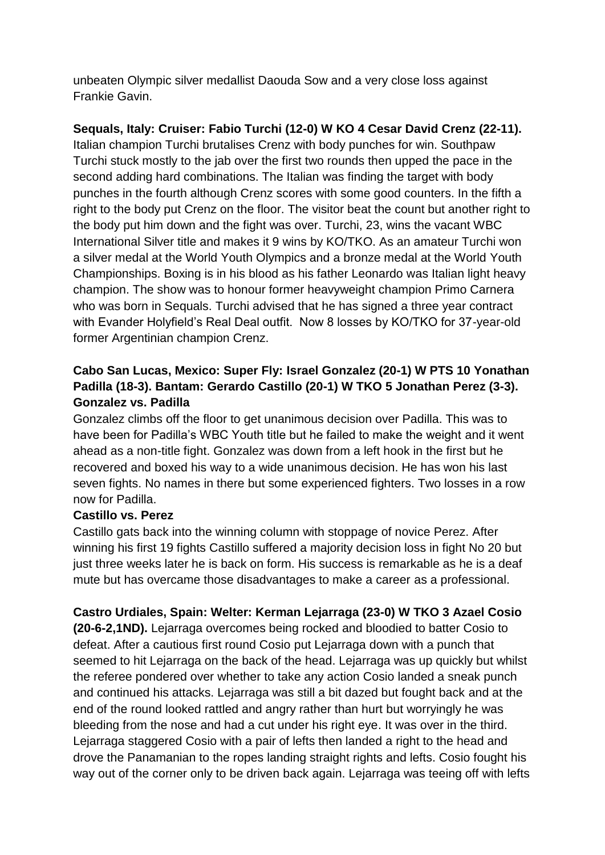unbeaten Olympic silver medallist Daouda Sow and a very close loss against Frankie Gavin.

**Sequals, Italy: Cruiser: Fabio Turchi (12-0) W KO 4 Cesar David Crenz (22-11).**

Italian champion Turchi brutalises Crenz with body punches for win. Southpaw Turchi stuck mostly to the jab over the first two rounds then upped the pace in the second adding hard combinations. The Italian was finding the target with body punches in the fourth although Crenz scores with some good counters. In the fifth a right to the body put Crenz on the floor. The visitor beat the count but another right to the body put him down and the fight was over. Turchi, 23, wins the vacant WBC International Silver title and makes it 9 wins by KO/TKO. As an amateur Turchi won a silver medal at the World Youth Olympics and a bronze medal at the World Youth Championships. Boxing is in his blood as his father Leonardo was Italian light heavy champion. The show was to honour former heavyweight champion Primo Carnera who was born in Sequals. Turchi advised that he has signed a three year contract with Evander Holyfield's Real Deal outfit. Now 8 losses by KO/TKO for 37-year-old former Argentinian champion Crenz.

## **Cabo San Lucas, Mexico: Super Fly: Israel Gonzalez (20-1) W PTS 10 Yonathan Padilla (18-3). Bantam: Gerardo Castillo (20-1) W TKO 5 Jonathan Perez (3-3). Gonzalez vs. Padilla**

Gonzalez climbs off the floor to get unanimous decision over Padilla. This was to have been for Padilla's WBC Youth title but he failed to make the weight and it went ahead as a non-title fight. Gonzalez was down from a left hook in the first but he recovered and boxed his way to a wide unanimous decision. He has won his last seven fights. No names in there but some experienced fighters. Two losses in a row now for Padilla.

## **Castillo vs. Perez**

Castillo gats back into the winning column with stoppage of novice Perez. After winning his first 19 fights Castillo suffered a majority decision loss in fight No 20 but just three weeks later he is back on form. His success is remarkable as he is a deaf mute but has overcame those disadvantages to make a career as a professional.

## **Castro Urdiales, Spain: Welter: Kerman Lejarraga (23-0) W TKO 3 Azael Cosio**

**(20-6-2,1ND).** Lejarraga overcomes being rocked and bloodied to batter Cosio to defeat. After a cautious first round Cosio put Lejarraga down with a punch that seemed to hit Lejarraga on the back of the head. Lejarraga was up quickly but whilst the referee pondered over whether to take any action Cosio landed a sneak punch and continued his attacks. Lejarraga was still a bit dazed but fought back and at the end of the round looked rattled and angry rather than hurt but worryingly he was bleeding from the nose and had a cut under his right eye. It was over in the third. Lejarraga staggered Cosio with a pair of lefts then landed a right to the head and drove the Panamanian to the ropes landing straight rights and lefts. Cosio fought his way out of the corner only to be driven back again. Lejarraga was teeing off with lefts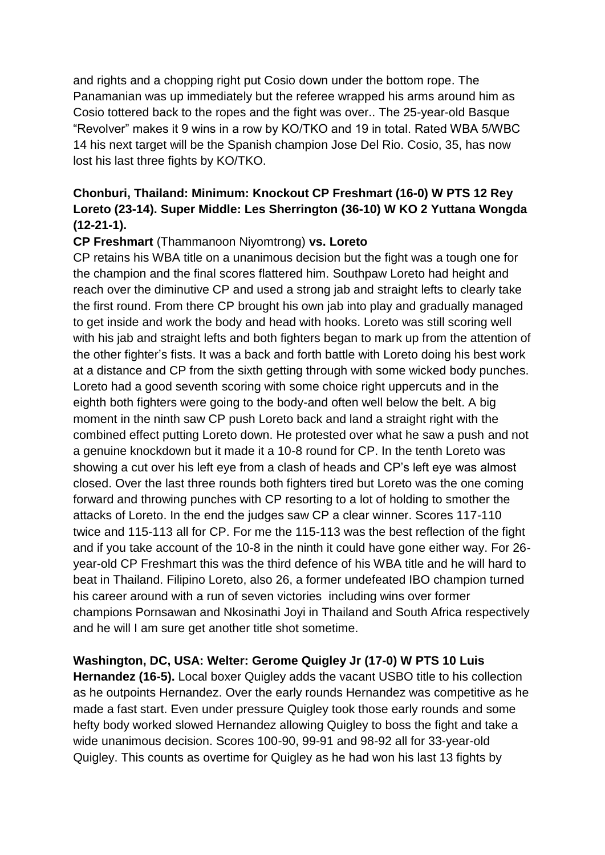and rights and a chopping right put Cosio down under the bottom rope. The Panamanian was up immediately but the referee wrapped his arms around him as Cosio tottered back to the ropes and the fight was over.. The 25-year-old Basque "Revolver" makes it 9 wins in a row by KO/TKO and 19 in total. Rated WBA 5/WBC 14 his next target will be the Spanish champion Jose Del Rio. Cosio, 35, has now lost his last three fights by KO/TKO.

## **Chonburi, Thailand: Minimum: Knockout CP Freshmart (16-0) W PTS 12 Rey Loreto (23-14). Super Middle: Les Sherrington (36-10) W KO 2 Yuttana Wongda (12-21-1).**

## **CP Freshmart** (Thammanoon Niyomtrong) **vs. Loreto**

CP retains his WBA title on a unanimous decision but the fight was a tough one for the champion and the final scores flattered him. Southpaw Loreto had height and reach over the diminutive CP and used a strong jab and straight lefts to clearly take the first round. From there CP brought his own jab into play and gradually managed to get inside and work the body and head with hooks. Loreto was still scoring well with his jab and straight lefts and both fighters began to mark up from the attention of the other fighter's fists. It was a back and forth battle with Loreto doing his best work at a distance and CP from the sixth getting through with some wicked body punches. Loreto had a good seventh scoring with some choice right uppercuts and in the eighth both fighters were going to the body-and often well below the belt. A big moment in the ninth saw CP push Loreto back and land a straight right with the combined effect putting Loreto down. He protested over what he saw a push and not a genuine knockdown but it made it a 10-8 round for CP. In the tenth Loreto was showing a cut over his left eye from a clash of heads and CP's left eye was almost closed. Over the last three rounds both fighters tired but Loreto was the one coming forward and throwing punches with CP resorting to a lot of holding to smother the attacks of Loreto. In the end the judges saw CP a clear winner. Scores 117-110 twice and 115-113 all for CP. For me the 115-113 was the best reflection of the fight and if you take account of the 10-8 in the ninth it could have gone either way. For 26 year-old CP Freshmart this was the third defence of his WBA title and he will hard to beat in Thailand. Filipino Loreto, also 26, a former undefeated IBO champion turned his career around with a run of seven victories including wins over former champions Pornsawan and Nkosinathi Joyi in Thailand and South Africa respectively and he will I am sure get another title shot sometime.

**Washington, DC, USA: Welter: Gerome Quigley Jr (17-0) W PTS 10 Luis Hernandez (16-5).** Local boxer Quigley adds the vacant USBO title to his collection as he outpoints Hernandez. Over the early rounds Hernandez was competitive as he made a fast start. Even under pressure Quigley took those early rounds and some hefty body worked slowed Hernandez allowing Quigley to boss the fight and take a wide unanimous decision. Scores 100-90, 99-91 and 98-92 all for 33-year-old Quigley. This counts as overtime for Quigley as he had won his last 13 fights by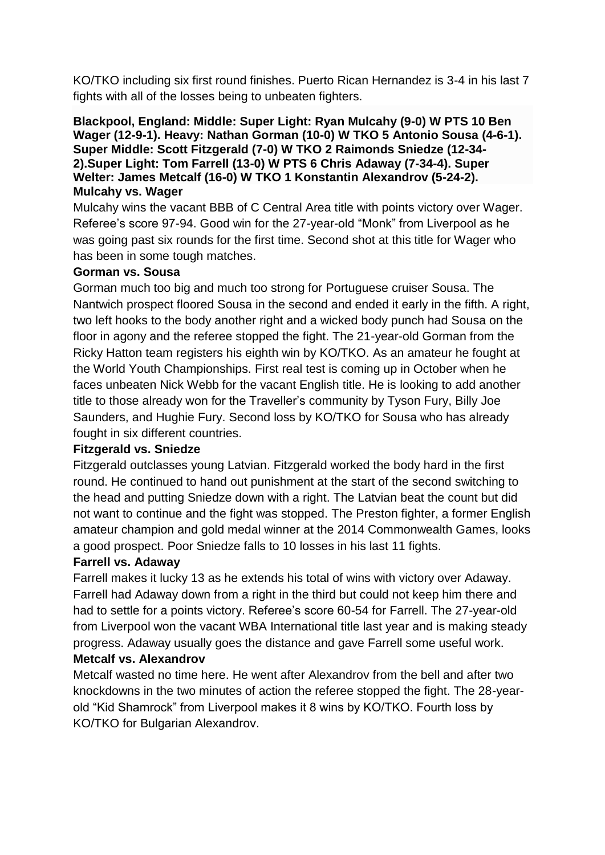KO/TKO including six first round finishes. Puerto Rican Hernandez is 3-4 in his last 7 fights with all of the losses being to unbeaten fighters.

#### **Blackpool, England: Middle: Super Light: Ryan Mulcahy (9-0) W PTS 10 Ben Wager (12-9-1). Heavy: Nathan Gorman (10-0) W TKO 5 Antonio Sousa (4-6-1). Super Middle: Scott Fitzgerald (7-0) W TKO 2 Raimonds Sniedze (12-34- 2).Super Light: Tom Farrell (13-0) W PTS 6 Chris Adaway (7-34-4). Super Welter: James Metcalf (16-0) W TKO 1 Konstantin Alexandrov (5-24-2). Mulcahy vs. Wager**

Mulcahy wins the vacant BBB of C Central Area title with points victory over Wager. Referee's score 97-94. Good win for the 27-year-old "Monk" from Liverpool as he was going past six rounds for the first time. Second shot at this title for Wager who has been in some tough matches.

#### **Gorman vs. Sousa**

Gorman much too big and much too strong for Portuguese cruiser Sousa. The Nantwich prospect floored Sousa in the second and ended it early in the fifth. A right, two left hooks to the body another right and a wicked body punch had Sousa on the floor in agony and the referee stopped the fight. The 21-year-old Gorman from the Ricky Hatton team registers his eighth win by KO/TKO. As an amateur he fought at the World Youth Championships. First real test is coming up in October when he faces unbeaten Nick Webb for the vacant English title. He is looking to add another title to those already won for the Traveller's community by Tyson Fury, Billy Joe Saunders, and Hughie Fury. Second loss by KO/TKO for Sousa who has already fought in six different countries.

## **Fitzgerald vs. Sniedze**

Fitzgerald outclasses young Latvian. Fitzgerald worked the body hard in the first round. He continued to hand out punishment at the start of the second switching to the head and putting Sniedze down with a right. The Latvian beat the count but did not want to continue and the fight was stopped. The Preston fighter, a former English amateur champion and gold medal winner at the 2014 Commonwealth Games, looks a good prospect. Poor Sniedze falls to 10 losses in his last 11 fights.

## **Farrell vs. Adaway**

Farrell makes it lucky 13 as he extends his total of wins with victory over Adaway. Farrell had Adaway down from a right in the third but could not keep him there and had to settle for a points victory. Referee's score 60-54 for Farrell. The 27-year-old from Liverpool won the vacant WBA International title last year and is making steady progress. Adaway usually goes the distance and gave Farrell some useful work. **Metcalf vs. Alexandrov**

Metcalf wasted no time here. He went after Alexandrov from the bell and after two knockdowns in the two minutes of action the referee stopped the fight. The 28-yearold "Kid Shamrock" from Liverpool makes it 8 wins by KO/TKO. Fourth loss by KO/TKO for Bulgarian Alexandrov.